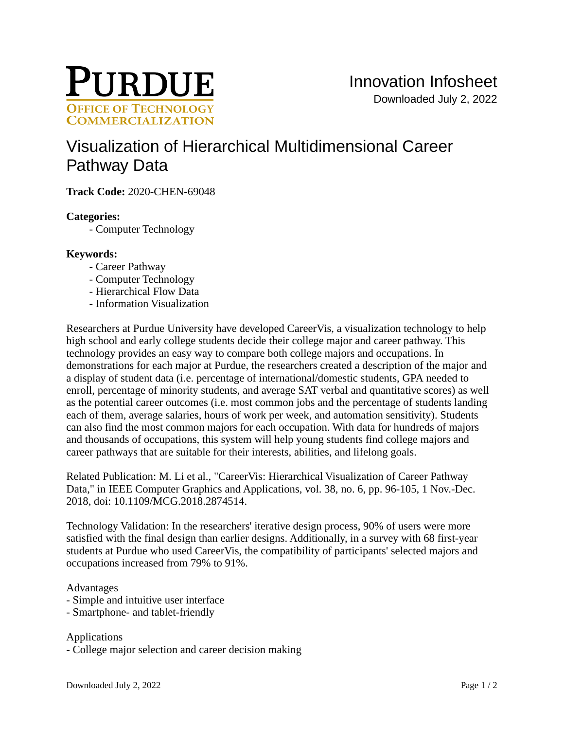

# [Visualization of Hierarchical Multidimensional Career](https://inventions.prf.org/innovation/7658)  [Pathway Data](https://inventions.prf.org/innovation/7658)

**Track Code:** 2020-CHEN-69048

## **Categories:**

- Computer Technology

### **Keywords:**

- Career Pathway
- Computer Technology
- Hierarchical Flow Data
- Information Visualization

Researchers at Purdue University have developed CareerVis, a visualization technology to help high school and early college students decide their college major and career pathway. This technology provides an easy way to compare both college majors and occupations. In demonstrations for each major at Purdue, the researchers created a description of the major and a display of student data (i.e. percentage of international/domestic students, GPA needed to enroll, percentage of minority students, and average SAT verbal and quantitative scores) as well as the potential career outcomes (i.e. most common jobs and the percentage of students landing each of them, average salaries, hours of work per week, and automation sensitivity). Students can also find the most common majors for each occupation. With data for hundreds of majors and thousands of occupations, this system will help young students find college majors and career pathways that are suitable for their interests, abilities, and lifelong goals.

Related Publication: M. Li et al., "CareerVis: Hierarchical Visualization of Career Pathway Data," in IEEE Computer Graphics and Applications, vol. 38, no. 6, pp. 96-105, 1 Nov.-Dec. 2018, doi: 10.1109/MCG.2018.2874514.

Technology Validation: In the researchers' iterative design process, 90% of users were more satisfied with the final design than earlier designs. Additionally, in a survey with 68 first-year students at Purdue who used CareerVis, the compatibility of participants' selected majors and occupations increased from 79% to 91%.

#### Advantages

- Simple and intuitive user interface
- Smartphone- and tablet-friendly

### Applications

- College major selection and career decision making